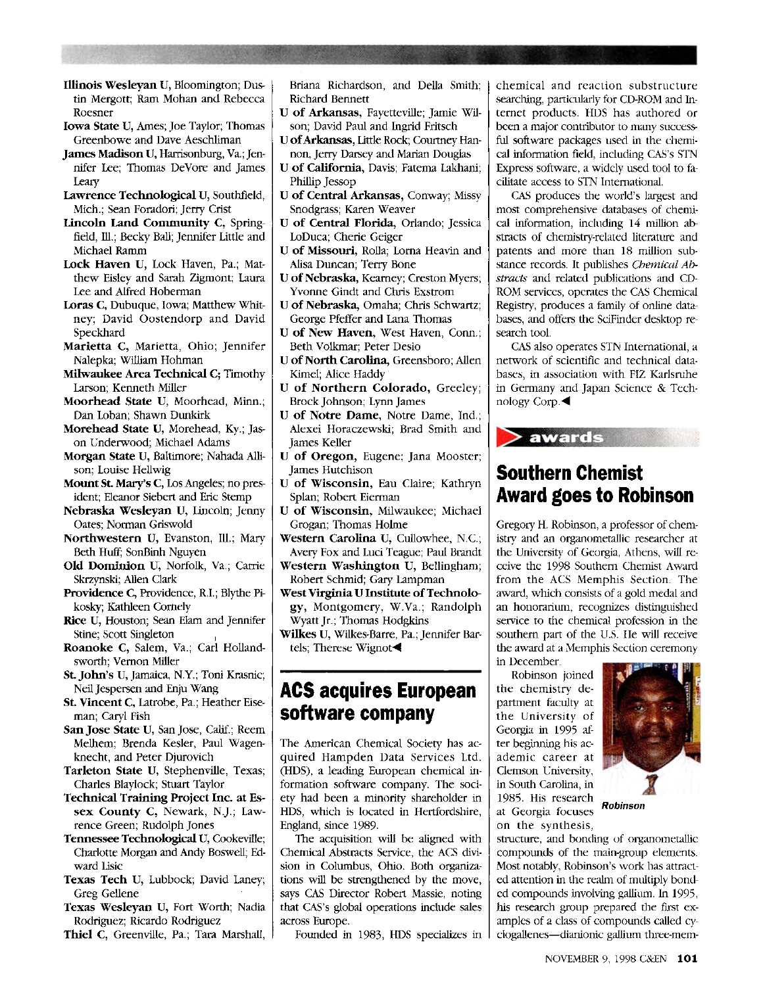- **Illinois Wesleyan** U, Bloomington; Dustin Mergott; Ram Mohan and Rebecca Roesner
- **Iowa State** U, Ames; Joe Taylor; Thomas Greenbowe and Dave Aeschliman
- **James Madison** U, Harrisonburg, Va.; Jennifer Lee; Thomas DeVore and James Leary
- **Lawrence Technological** U, Southfield, Mich.; Sean Foradori; Jerry Crist
- **Lincoln Land Community C,** Springfield, HI.; Becky Ball; Jennifer Little and Michael Ramm
- **Lock Haven** U, Lock Haven, Pa.; Matthew Eisley and Sarah Zigmont; Laura Lee and Alfred Hoberman
- **Loras C,** Dubuque, Iowa; Matthew Whitney; David Oostendorp and David Speckhard
- **Marietta C,** Marietta, Ohio; Jennifer Nalepka; William Hohman
- **Milwaukee Area Technical C;** Timothy Larson; Kenneth Miller
- **Moorhead State U,** Moorhead, Minn.; Dan Loban; Shawn Dunkirk
- **Morehead State U,** Morehead, Ky.; Jason Underwood; Michael Adams
- **Morgan State** U, Baltimore; Nahada Allison; Louise Hellwig
- **Mount St Mary's C,** Los Angeles; no president; Eleanor Siebert and Eric Stemp
- **Nebraska Wesleyan U,** Lincoln; Jenny Oates; Norman Griswold
- Northwestern U, Evanston, Ill.; Mary Beth Huff; SonBinh Nguyen
- **Old Dominion** U, Norfolk, Va.; Carrie Skrzynski; Allen Clark
- **Providence C,** Providence, R.I.; Blythe Pikosky; Kathleen Comely
- **Rice** U, Houston; Sean Elam and Jennifer Stine; Scott Singleton ,
- **Roanoke C,** Salem, Va.; Carl Hollandsworth; Vernon Miller
- **St John's** U, Jamaica, N.Y.; Toni Krasnic; Neil Jespersen and Enju Wang
- **St. Vincent C,** Latrobe, Pa.; Heather Eiseman; Caryl Fish
- **San Jose State** U, San Jose, Calif.; Reem Melhem; Brenda Kesler, Paul Wagenknecht, and Peter Djurovich
- **Tarleton State** U, Stephenville, Texas; Charles Blaylock; Stuart Taylor
- **Technical Training Project Inc. at Essex County C,** Newark, N.J.; Lawrence Green; Rudolph Jones
- **Tennessee Technological** U, Cookeville; Charlotte Morgan and Andy Boswell; Edward Iisic
- **Texas Tech U,** Lubbock; David Laney; Greg Gellene
- **Texas Wesleyan** U, Fort Worth; Nadia Rodriguez; Ricardo Rodriguez
- **Thiel** C, Greenville, Pa.; Tara Marshall,

Briana Richardson, and Delia Smith; Richard Bennett

- U **of Arkansas,** Fayetteville; Jamie Wilson; David Paul and Ingrid Fritsch
- U **of Arkansas,** Little Rock; Courtney Hannon, Jerry Darsey and Marian Douglas
- U **of California,** Davis; Fatema Lakhani; Phillip Jessop
- **U of Central Arkansas,** Conway; Missy Snodgrass; Karen Weaver
- **U of Central Florida,** Orlando; Jessica LoDuca; Cherie Geiger
- **U of Missouri,** Rolla; Lorna Heavin and Alisa Duncan; Terry Bone
- U **of Nebraska,** Kearney; Creston Myers; Yvonne Gindt and Chris Exstrom
- U **of Nebraska,** Omaha; Chris Schwartz; George Pfeffer and Lana Thomas
- U **of New Haven,** West Haven, Conn.; Beth Volkmar; Peter Desio
- U **of North Carolina,** Greensboro; Allen Kimel; Alice Haddy
- U **of Northern Colorado,** Greeley; Brock Johnson; Lynn James
- U **of Notre Dame,** Notre Dame, Ind.; Alexei Horaczewski; Brad Smith and James Keller
- U **of Oregon,** Eugene; Jana Mooster; James Hutchison
- U **of Wisconsin,** Eau Claire; Kathryn Splan; Robert Eierman
- U **of Wisconsin,** Milwaukee; Michael Grogan; Thomas Holme
- **Western Carolina** U, Cullowhee, N.C.; Avery Fox and Luci Teague; Paul Brandt
- **Western Washington** U, Bellingham; Robert Schmid; Gary Lampman
- **West Virginia U Institute of Technology,** Montgomery, W.Va.; Randolph Wyatt Jr.; Thomas Hodgkins
- **Wilkes** U, Wilkes-Barre, Pa.; Jennifer Bartels; Therese Wignot^

#### **ACS acquires European software company**

The American Chemical Society has acquired Hampden Data Services Ltd. (HDS), a leading European chemical information software company. The society had been a minority shareholder in HDS, which is located in Hertfordshire, England, since 1989.

The acquisition will be aligned with Chemical Abstracts Service, the ACS division in Columbus, Ohio. Both organizations will be strengthened by the move, says CAS Director Robert Massie, noting that CAS's global operations include sales across Europe.

Founded in 1983, HDS specializes in

chemical and reaction substructure searching, particularly for CD-ROM and Internet products. HDS has authored or been a major contributor to many successful software packages used in the chemical information field, including CAS's STN Express software, a widely used tool to facilitate access to STN International.

CAS produces the world's largest and most comprehensive databases of chemical information, including 14 million abstracts of chemistry-related literature and patents and more than 18 million substance records. It publishes *Chemical Abstracts* and related publications and CD-ROM services, operates the CAS Chemical Registry, produces a family of online databases, and offers the SciFinder desktop research tool.

CAS also operates STN International, a network of scientific and technical databases, in association with FI2 Karlsruhe in Germany and Japan Science & Technology Corp.^

# **Southern Chemist Award goes to Robinson**

 $\blacktriangleright$  awards

Gregory H. Robinson, a professor of chemistry and an organometallic researcher at the University of Georgia, Athens, will receive the 1998 Southern Chemist Award from the ACS Memphis Section. The award, which consists of a gold medal and an honorarium, recognizes distinguished service to the chemical profession in the southern part of the U.S. He will receive the award at a Memphis Section ceremony in December.

Robinson joined the chemistry department faculty at the University of Georgia in 1995 after beginning his academic career at Clemson University, in South Carolina, in 1985. His research *<u>Robinson</u> Robinson Robinson* on the synthesis. on the synthesis,



structure, and bonding of organometallic compounds of the main-group elements. Most notably, Robinson's work has attracted attention in the realm of multiply bonded compounds involving gallium. In 1995, his research group prepared the first examples of a class of compounds called cyclogallenes—dianionic gallium three-mem-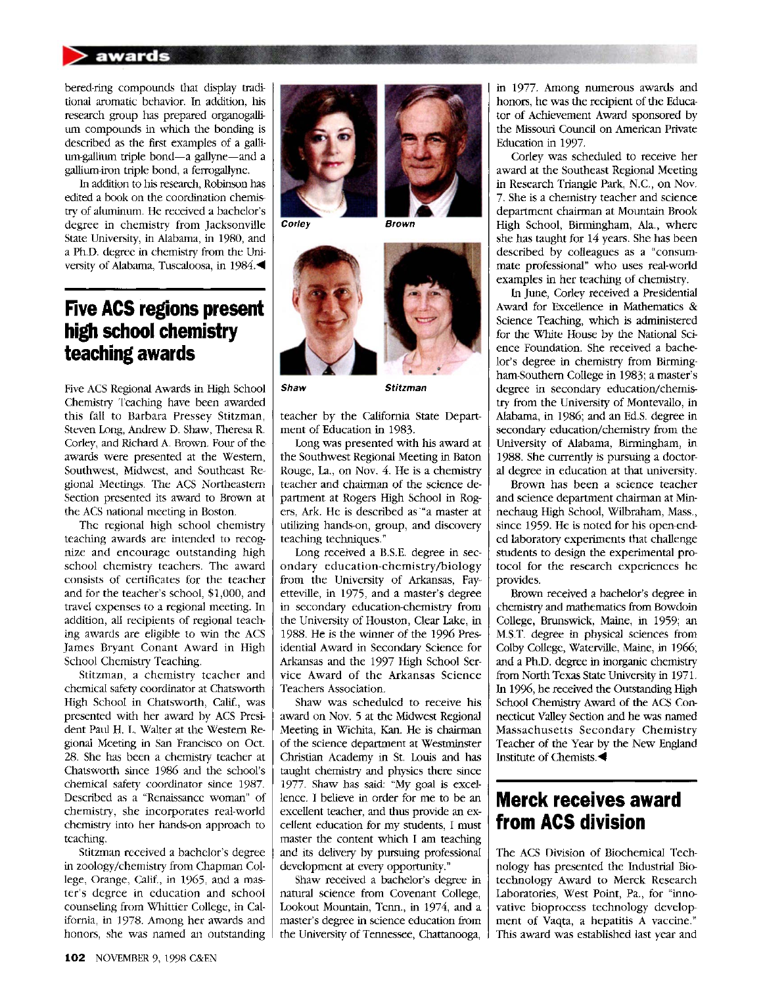#### **awards**

bered-ring compounds that display traditional aromatic behavior. In addition, his research group has prepared organogallium compounds in which the bonding is described as the first examples of a gallium-gallium triple bond—a gallyne—and a gallium-iron triple bond, a ferrogallyne.

In addition to his research, Robinson has edited a book on the coordination chemistry of aluminum. He received a bachelor's degree in chemistry from Jacksonville State University, in Alabama, in 1980, and a Ph.D. degree in chemistry from the University of Alabama, Tuscaloosa, in  $1984.$ 

#### **Five ACS regions present high school chemistry teaching awards**

Five ACS Regional Awards in High School Chemistry Teaching have been awarded this fall to Barbara Pressey Stitzman, Steven Long, Andrew D. Shaw, Theresa R. Corley, and Richard A. Brown. Four of the awards were presented at the Western, Southwest, Midwest, and Southeast Regional Meetings. The ACS Northeastern Section presented its award to Brown at the ACS national meeting in Boston.

The regional high school chemistry teaching awards are intended to recognize and encourage outstanding high school chemistry teachers. The award consists of certificates for the teacher and for the teacher's school, \$1,000, and travel expenses to a regional meeting. In addition, all recipients of regional teaching awards are eligible to win the ACS James Bryant Conant Award in High School Chemistry Teaching.

Stitzman, a chemistry teacher and chemical safety coordinator at Chatsworth High School in Chatsworth, Calif., was presented with her award by ACS President Paul H. L. Walter at the Western Regional Meeting in San Francisco on Oct. 28. She has been a chemistry teacher at Chatsworth since 1986 and the school's chemical safety coordinator since 1987. Described as a "Renaissance woman" of chemistry, she incorporates real-world chemistry into her hands-on approach to teaching.

Stitzman received a bachelor's degree in zoology/chemistry from Chapman College, Orange, Calif., in 1965, and a master's degree in education and school counseling from Whittier College, in California, in 1978. Among her awards and honors, she was named an outstanding



**Corley Brown** 





**Shaw Stitzman** 

teacher by the California State Department of Education in 1983.

Long was presented with his award at the Southwest Regional Meeting in Baton Rouge, La., on Nov. 4. He is a chemistry teacher and chairman of the science department at Rogers High School in Rogers, Ark. He is described as "a master at utilizing hands-on, group, and discovery teaching techniques."

Long received a B.S.E. degree in secondary education-chemistry/biology from the University of Arkansas, Fayetteville, in 1975, and a master's degree in secondary education-chemistry from the University of Houston, Clear Lake, in 1988. He is the winner of the 1996 Presidential Award in Secondary Science for Arkansas and the 1997 High School Service Award of the Arkansas Science Teachers Association.

Shaw was scheduled to receive his award on Nov. 5 at the Midwest Regional Meeting in Wichita, Kan. He is chairman of the science department at Westminster Christian Academy in St. Louis and has taught chemistry and physics there since 1977. Shaw has said: "My goal is excellence. I believe in order for me to be an excellent teacher, and thus provide an excellent education for my students, I must master the content which I am teaching and its delivery by pursuing professional development at every opportunity."

Shaw received a bachelor's degree in natural science from Covenant College, Lookout Mountain, Term., in 1974, and a master's degree in science education from the University of Tennessee, Chattanooga, in 1977. Among numerous awards and honors, he was the recipient of the Educator of Achievement Award sponsored by the Missouri Council on American Private Education in 1997.

Corley was scheduled to receive her award at the Southeast Regional Meeting in Research Triangle Park, N.C., on Nov. 7. She is a chemistry teacher and science department chairman at Mountain Brook High School, Birmingham, Ala., where she has taught for 14 years. She has been described by colleagues as a "consummate professional" who uses real-world examples in her teaching of chemistry.

In June, Corley received a Presidential Award for Excellence in Mathematics & Science Teaching, which is administered for the White House by the National Science Foundation. She received a bachelor's degree in chemistry from Birmingham-Southern College in 1983; a master's degree in secondary education/chemistry from the University of Montevallo, in Alabama, in 1986; and an Ed.S. degree in secondary education/chemistry from the University of Alabama, Birmingham, in 1988. She currently is pursuing a doctoral degree in education at that university.

Brown has been a science teacher and science department chairman at Minnechaug High School, Wilbraham, Mass., since 1959. He is noted for his open-ended laboratory experiments that challenge students to design the experimental protocol for the research experiences he provides.

Brown received a bachelor's degree in chemistry and mathematics from Bowdoin College, Brunswick, Maine, in 1959; an M.S.T. degree in physical sciences from Colby College, Waterville, Maine, in 1966; and a Ph.D. degree in inorganic chemistry from North Texas State University in 1971. In 1996, he received the Outstanding High School Chemistry Award of the ACS Connecticut Valley Section and he was named Massachusetts Secondary Chemistry Teacher of the Year by the New England Institute of Chemists.^

### **Merck receives award from ACS division**

The ACS Division of Biochemical Technology has presented the Industrial Biotechnology Award to Merck Research Laboratories, West Point, Pa., for "innovative bioprocess technology development of Vaqta, a hepatitis A vaccine." This award was established last year and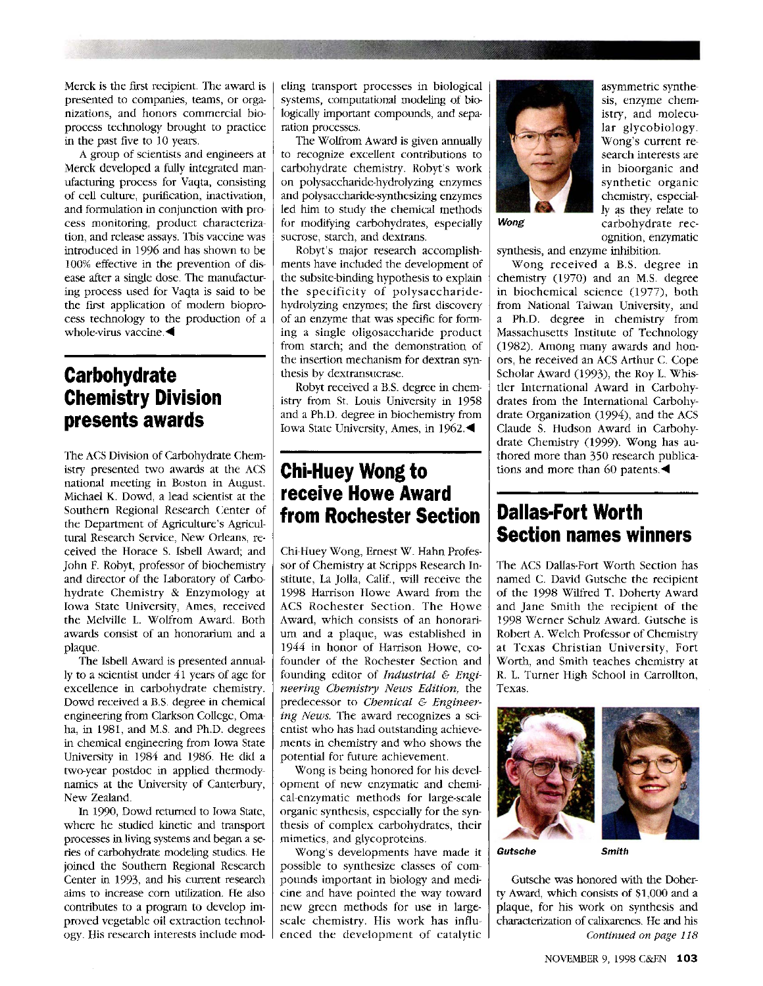Merck is the first recipient. The award is presented to companies, teams, or organizations, and honors commercial bioprocess technology brought to practice in the past five to 10 years.

A group of scientists and engineers at Merck developed a fully integrated manufacturing process for Vaqta, consisting of cell culture, purification, inactivation, and formulation in conjunction with process monitoring, product characterization, and release assays. This vaccine was introduced in 1996 and has shown to be 100% effective in the prevention of disease after a single dose. The manufacturing process used for Vaqta is said to be the first application of modern bioprocess technology to the production of a whole-virus vaccine. $\blacktriangleleft$ 

## **Carbohydrate Chemistry Division presents awards**

The ACS Division of Carbohydrate Chemistry presented two awards at the ACS national meeting in Boston in August. Michael K. Dowd, a lead scientist at the Southern Regional Research Center of the Department of Agriculture's Agricultural Research Service, New Orleans, received the Horace S. Isbell Award; and John F. Robyt, professor of biochemistry and director of the Laboratory of Carbohydrate Chemistry & Enzymology at Iowa State University, Ames, received the Melville L. Wolfrom Award. Both awards consist of an honorarium and a plaque.

The Isbell Award is presented annually to a scientist under 41 years of age for excellence in carbohydrate chemistry. Dowd received a B.S. degree in chemical engineering from Clarkson College, Omaha, in 1981, and M.S. and Ph.D. degrees in chemical engineering from Iowa State University in 1984 and 1986. He did a two-year postdoc in applied thermodynamics at the University of Canterbury, New Zealand.

In 1990, Dowd returned to Iowa State, where he studied kinetic and transport processes in living systems and began a series of carbohydrate modeling studies. He joined the Southern Regional Research Center in 1993, and his current research aims to increase corn utilization. He also contributes to a program to develop improved vegetable oil extraction technology. His research interests include modeling transport processes in biological systems, computational modeling of biologically important compounds, and separation processes.

The Wolfrom Award is given annually to recognize excellent contributions to carbohydrate chemistry. Robyt's work on polysaccharide-hydrolyzing enzymes and polysaccharide-synthesizing enzymes led him to study the chemical methods for modifying carbohydrates, especially sucrose, starch, and dextrans.

Robyt's major research accomplishments have included the development of the subsite-binding hypothesis to explain the specificity of polysaccharidehydrolyzing enzymes; the first discovery of an enzyme that was specific for forming a single oligosaccharide product from starch; and the demonstration of the insertion mechanism for dextran synthesis by dextransucrase.

Robyt received a B.S. degree in chemistry from St. Louis University in 1958 and a Ph.D. degree in biochemistry from Iowa State University, Ames, in 1962.^

### **Chi-Huey Wong to receive Howe Award from Rochester Section**

Chi-Huey Wong, Ernest W. Hahn Professor of Chemistry at Scripps Research Institute, La Jolla, Calif., will receive the 1998 Harrison Howe Award from the ACS Rochester Section. The Howe Award, which consists of an honorarium and a plaque, was established in 1944 in honor of Harrison Howe, cofounder of the Rochester Section and founding editor of *Industrial & Engineering Chemistry News Edition,* the predecessor to *Chemical & Engineering News.* The award recognizes a scientist who has had outstanding achievements in chemistry and who shows the potential for future achievement.

Wong is being honored for his development of new enzymatic and chemical-enzymatic methods for large-scale organic synthesis, especially for the synthesis of complex carbohydrates, their mimetics, and glycoproteins.

Wong's developments have made it possible to synthesize classes of compounds important in biology and medicine and have pointed the way toward new green methods for use in largescale chemistry. His work has influenced the development of catalytic



asymmetric synthesis, enzyme chemistry, and molecular glycobiology. Wong's current research interests are in bioorganic and synthetic organic chemistry, especially as they relate to *Wong* carbohydrate recognition, enzymatic

synthesis, and enzyme inhibition.

Wong received a B.S. degree in chemistry (1970) and an M.S. degree in biochemical science (1977), both from National Taiwan University, and a Ph.D. degree in chemistry from Massachusetts Institute of Technology (1982). Among many awards and honors, he received an ACS Arthur C. Cope Scholar Award (1993), the Roy L. Whistler International Award in Carbohydrates from the International Carbohydrate Organization (1994), and the ACS Claude S. Hudson Award in Carbohydrate Chemistry (1999). Wong has authored more than 350 research publications and more than 60 patents. $\blacktriangleleft$ 

## **Dallas-Fort Worth Section names winners**

The ACS Dallas-Fort Worth Section has named C. David Gutsche the recipient of the 1998 Wilfred T. Doherty Award and Jane Smith the recipient of the 1998 Werner Schulz Award. Gutsche is Robert A. Welch Professor of Chemistry at Texas Christian University, Fort Worth, and Smith teaches chemistry at R. L. Turner High School in Carrollton, Texas.



**Gutsche Smith** 

Gutsche was honored with the Doherty Award, which consists of \$1,000 and a plaque, for his work on synthesis and characterization of calixarenes. He and his *Continued on page 118*